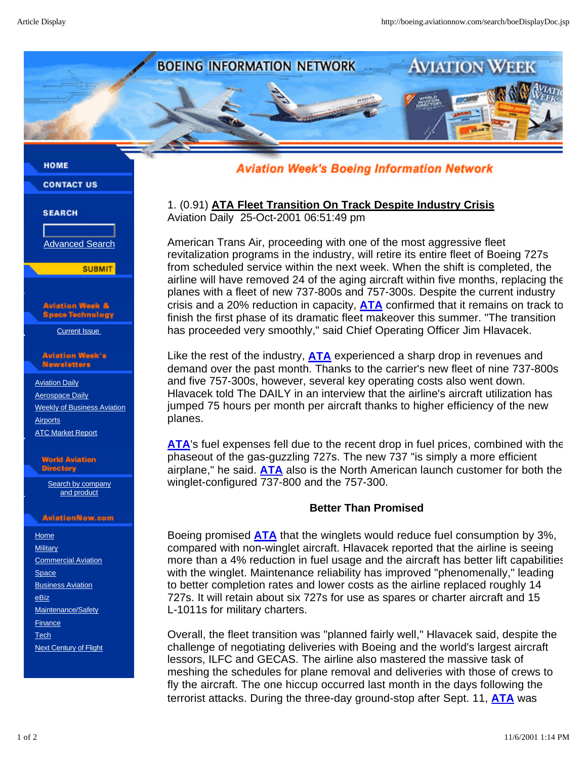

### **HOME**

**CONTACT US** 

## **SEARCH**

Advanced Search

**SUBMIT** 

Aviation Week & **Space Technology** 

Current Issue

#### **Aviation Week's** Newsletters

 Aviation Daily Aerospace Daily Weekly of Business Aviation **Airports ATC Market Report** 

#### **World Aviation Directory**

Search by company and product

### **AviationNow.com**

**Home Military**  Commercial Aviation Space **Business Aviation**  eBiz Maintenance/Safety **Finance Tech** Next Century of Flight **Aviation Week's Boeing Information Network** 

# 1. (0.91) **ATA Fleet Transition On Track Despite Industry Crisis** Aviation Daily 25-Oct-2001 06:51:49 pm

American Trans Air, proceeding with one of the most aggressive fleet revitalization programs in the industry, will retire its entire fleet of Boeing 727s from scheduled service within the next week. When the shift is completed, the airline will have removed 24 of the aging aircraft within five months, replacing the planes with a fleet of new 737-800s and 757-300s. Despite the current industry crisis and a 20% reduction in capacity, **ATA** confirmed that it remains on track to finish the first phase of its dramatic fleet makeover this summer. "The transition has proceeded very smoothly," said Chief Operating Officer Jim Hlavacek.

Like the rest of the industry, **ATA** experienced a sharp drop in revenues and demand over the past month. Thanks to the carrier's new fleet of nine 737-800s and five 757-300s, however, several key operating costs also went down. Hlavacek told The DAILY in an interview that the airline's aircraft utilization has jumped 75 hours per month per aircraft thanks to higher efficiency of the new planes.

**ATA**'s fuel expenses fell due to the recent drop in fuel prices, combined with the phaseout of the gas-guzzling 727s. The new 737 "is simply a more efficient airplane," he said. **ATA** also is the North American launch customer for both the winglet-configured 737-800 and the 757-300.

# **Better Than Promised**

Boeing promised **ATA** that the winglets would reduce fuel consumption by 3%, compared with non-winglet aircraft. Hlavacek reported that the airline is seeing more than a 4% reduction in fuel usage and the aircraft has better lift capabilities with the winglet. Maintenance reliability has improved "phenomenally," leading to better completion rates and lower costs as the airline replaced roughly 14 727s. It will retain about six 727s for use as spares or charter aircraft and 15 L-1011s for military charters.

Overall, the fleet transition was "planned fairly well," Hlavacek said, despite the challenge of negotiating deliveries with Boeing and the world's largest aircraft lessors, ILFC and GECAS. The airline also mastered the massive task of meshing the schedules for plane removal and deliveries with those of crews to fly the aircraft. The one hiccup occurred last month in the days following the terrorist attacks. During the three-day ground-stop after Sept. 11, **ATA** was